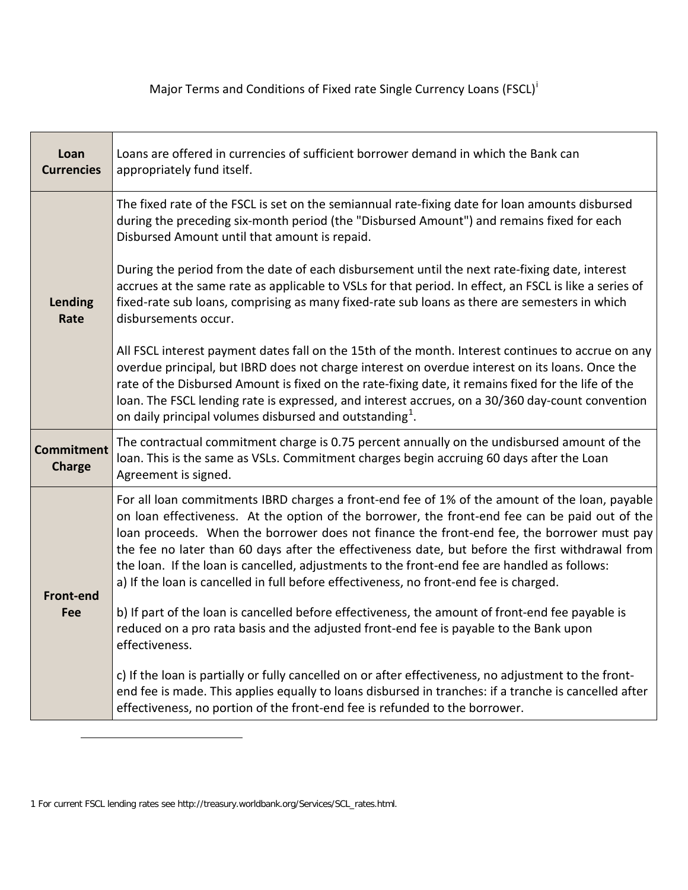Major Terms and Cond[i](#page-1-0)tions of Fixed rate Single Currency Loans (FSCL)<sup>i</sup>

| Loan<br><b>Currencies</b>          | Loans are offered in currencies of sufficient borrower demand in which the Bank can<br>appropriately fund itself.                                                                                                                                                                                                                                                                                                                                                                                                                                                                                                                                                                                                                                                                                            |  |  |
|------------------------------------|--------------------------------------------------------------------------------------------------------------------------------------------------------------------------------------------------------------------------------------------------------------------------------------------------------------------------------------------------------------------------------------------------------------------------------------------------------------------------------------------------------------------------------------------------------------------------------------------------------------------------------------------------------------------------------------------------------------------------------------------------------------------------------------------------------------|--|--|
|                                    | The fixed rate of the FSCL is set on the semiannual rate-fixing date for loan amounts disbursed<br>during the preceding six-month period (the "Disbursed Amount") and remains fixed for each<br>Disbursed Amount until that amount is repaid.                                                                                                                                                                                                                                                                                                                                                                                                                                                                                                                                                                |  |  |
| Lending<br>Rate                    | During the period from the date of each disbursement until the next rate-fixing date, interest<br>accrues at the same rate as applicable to VSLs for that period. In effect, an FSCL is like a series of<br>fixed-rate sub loans, comprising as many fixed-rate sub loans as there are semesters in which<br>disbursements occur.                                                                                                                                                                                                                                                                                                                                                                                                                                                                            |  |  |
|                                    | All FSCL interest payment dates fall on the 15th of the month. Interest continues to accrue on any<br>overdue principal, but IBRD does not charge interest on overdue interest on its loans. Once the<br>rate of the Disbursed Amount is fixed on the rate-fixing date, it remains fixed for the life of the<br>loan. The FSCL lending rate is expressed, and interest accrues, on a 30/360 day-count convention<br>on daily principal volumes disbursed and outstanding <sup>1</sup> .                                                                                                                                                                                                                                                                                                                      |  |  |
| <b>Commitment</b><br><b>Charge</b> | The contractual commitment charge is 0.75 percent annually on the undisbursed amount of the<br>loan. This is the same as VSLs. Commitment charges begin accruing 60 days after the Loan<br>Agreement is signed.                                                                                                                                                                                                                                                                                                                                                                                                                                                                                                                                                                                              |  |  |
| <b>Front-end</b><br>Fee            | For all loan commitments IBRD charges a front-end fee of 1% of the amount of the loan, payable<br>on loan effectiveness. At the option of the borrower, the front-end fee can be paid out of the<br>loan proceeds. When the borrower does not finance the front-end fee, the borrower must pay<br>the fee no later than 60 days after the effectiveness date, but before the first withdrawal from<br>the loan. If the loan is cancelled, adjustments to the front-end fee are handled as follows:<br>a) If the loan is cancelled in full before effectiveness, no front-end fee is charged.<br>b) If part of the loan is cancelled before effectiveness, the amount of front-end fee payable is<br>reduced on a pro rata basis and the adjusted front-end fee is payable to the Bank upon<br>effectiveness. |  |  |
|                                    | c) If the loan is partially or fully cancelled on or after effectiveness, no adjustment to the front-<br>end fee is made. This applies equally to loans disbursed in tranches: if a tranche is cancelled after<br>effectiveness, no portion of the front-end fee is refunded to the borrower.                                                                                                                                                                                                                                                                                                                                                                                                                                                                                                                |  |  |

l

<span id="page-0-0"></span><sup>1</sup> For current FSCL lending rates see http://treasury.worldbank.org/Services/SCL\_rates.html.